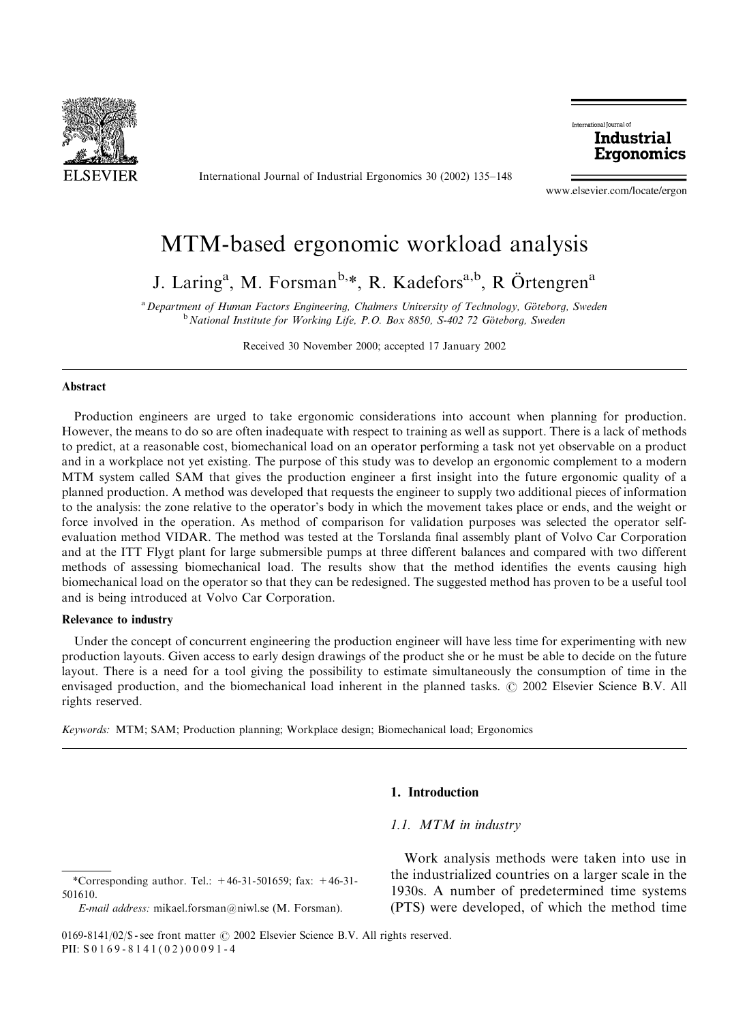

International Journal of Industrial Ergonomics 30 (2002) 135–148



www.elsevier.com/locate/ergon

## MTM-based ergonomic workload analysis

J. Laring<sup>a</sup>, M. Forsman<sup>b,\*</sup>, R. Kadefors<sup>a,b</sup>, R Örtengren<sup>a</sup>

<sup>a</sup> Department of Human Factors Engineering, Chalmers University of Technology, Göteborg, Sweden . by National Institute for Working Life, P.O. Box 8850, S-402 72 Göteborg, Sweden

Received 30 November 2000; accepted 17 January 2002

#### Abstract

Production engineers are urged to take ergonomic considerations into account when planning for production. However, the means to do so are often inadequate with respect to training as well as support. There is a lack of methods to predict, at a reasonable cost, biomechanical load on an operator performing a task not yet observable on a product and in a workplace not yet existing. The purpose of this study was to develop an ergonomic complement to a modern MTM system called SAM that gives the production engineer a first insight into the future ergonomic quality of a planned production. A method was developed that requests the engineer to supply two additional pieces of information to the analysis: the zone relative to the operator's body in which the movement takes place or ends, and the weight or force involved in the operation. As method of comparison for validation purposes was selected the operator selfevaluation method VIDAR. The method was tested at the Torslanda final assembly plant of Volvo Car Corporation and at the ITT Flygt plant for large submersible pumps at three different balances and compared with two different methods of assessing biomechanical load. The results show that the method identifies the events causing high biomechanical load on the operator so that they can be redesigned. The suggested method has proven to be a useful tool and is being introduced at Volvo Car Corporation.

#### Relevance to industry

Under the concept of concurrent engineering the production engineer will have less time for experimenting with new production layouts. Given access to early design drawings of the product she or he must be able to decide on the future layout. There is a need for a tool giving the possibility to estimate simultaneously the consumption of time in the envisaged production, and the biomechanical load inherent in the planned tasks.  $\odot$  2002 Elsevier Science B.V. All rights reserved.

Keywords: MTM; SAM; Production planning; Workplace design; Biomechanical load; Ergonomics

#### 1. Introduction

#### 1.1. MTM in industry

E-mail address: mikael.forsman@niwl.se (M. Forsman).

Work analysis methods were taken into use in the industrialized countries on a larger scale in the 1930s. A number of predetermined time systems (PTS) were developed, of which the method time

<sup>\*</sup>Corresponding author. Tel.:  $+46-31-501659$ ; fax:  $+46-31-$ 501610.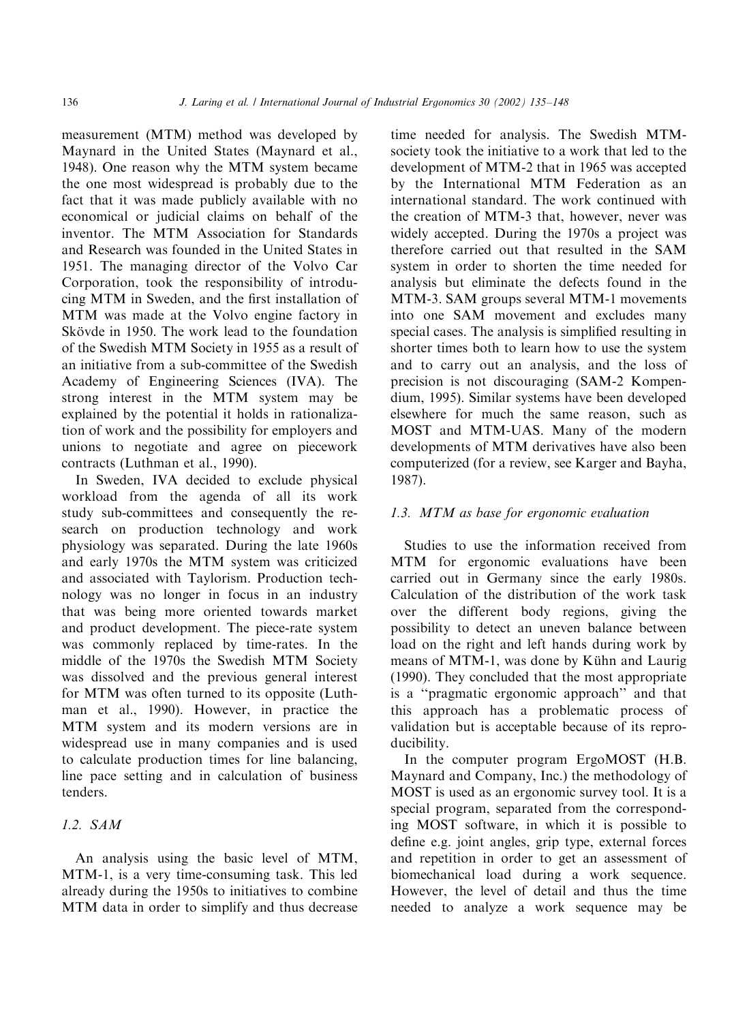measurement (MTM) method was developed by Maynard in the United States (Maynard et al., 1948). One reason why the MTM system became the one most widespread is probably due to the fact that it was made publicly available with no economical or judicial claims on behalf of the inventor. The MTM Association for Standards and Research was founded in the United States in 1951. The managing director of the Volvo Car Corporation, took the responsibility of introducing MTM in Sweden, and the first installation of MTM was made at the Volvo engine factory in Skövde in 1950. The work lead to the foundation of the Swedish MTM Society in 1955 as a result of an initiative from a sub-committee of the Swedish Academy of Engineering Sciences (IVA). The strong interest in the MTM system may be explained by the potential it holds in rationalization of work and the possibility for employers and unions to negotiate and agree on piecework contracts (Luthman et al., 1990).

In Sweden, IVA decided to exclude physical workload from the agenda of all its work study sub-committees and consequently the research on production technology and work physiology was separated. During the late 1960s and early 1970s the MTM system was criticized and associated with Taylorism. Production technology was no longer in focus in an industry that was being more oriented towards market and product development. The piece-rate system was commonly replaced by time-rates. In the middle of the 1970s the Swedish MTM Society was dissolved and the previous general interest for MTM was often turned to its opposite (Luthman et al., 1990). However, in practice the MTM system and its modern versions are in widespread use in many companies and is used to calculate production times for line balancing, line pace setting and in calculation of business tenders.

### 1.2. SAM

An analysis using the basic level of MTM, MTM-1, is a very time-consuming task. This led already during the 1950s to initiatives to combine MTM data in order to simplify and thus decrease

time needed for analysis. The Swedish MTMsociety took the initiative to a work that led to the development of MTM-2 that in 1965 was accepted by the International MTM Federation as an international standard. The work continued with the creation of MTM-3 that, however, never was widely accepted. During the 1970s a project was therefore carried out that resulted in the SAM system in order to shorten the time needed for analysis but eliminate the defects found in the MTM-3. SAM groups several MTM-1 movements into one SAM movement and excludes many special cases. The analysis is simplified resulting in shorter times both to learn how to use the system and to carry out an analysis, and the loss of precision is not discouraging (SAM-2 Kompendium, 1995). Similar systems have been developed elsewhere for much the same reason, such as MOST and MTM-UAS. Many of the modern developments of MTM derivatives have also been computerized (for a review, see Karger and Bayha, 1987).

#### 1.3. MTM as base for ergonomic evaluation

Studies to use the information received from MTM for ergonomic evaluations have been carried out in Germany since the early 1980s. Calculation of the distribution of the work task over the different body regions, giving the possibility to detect an uneven balance between load on the right and left hands during work by means of MTM-1, was done by Kühn and Laurig (1990). They concluded that the most appropriate is a ''pragmatic ergonomic approach'' and that this approach has a problematic process of validation but is acceptable because of its reproducibility.

In the computer program ErgoMOST (H.B. Maynard and Company, Inc.) the methodology of MOST is used as an ergonomic survey tool. It is a special program, separated from the corresponding MOST software, in which it is possible to define e.g. joint angles, grip type, external forces and repetition in order to get an assessment of biomechanical load during a work sequence. However, the level of detail and thus the time needed to analyze a work sequence may be